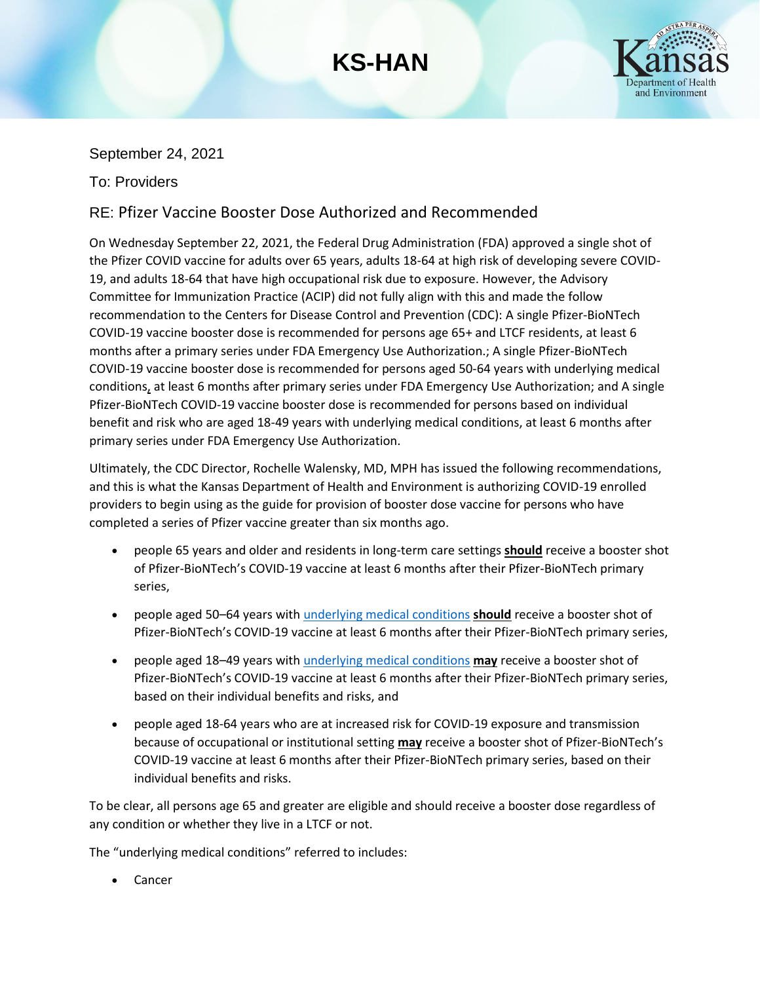## **KS-HAN**



### September 24, 2021

### To: Providers

## RE: Pfizer Vaccine Booster Dose Authorized and Recommended

On Wednesday September 22, 2021, the Federal Drug Administration (FDA) approved a single shot of the Pfizer COVID vaccine for adults over 65 years, adults 18-64 at high risk of developing severe COVID-19, and adults 18-64 that have high occupational risk due to exposure. However, the Advisory Committee for Immunization Practice (ACIP) did not fully align with this and made the follow recommendation to the Centers for Disease Control and Prevention (CDC): A single Pfizer-BioNTech COVID-19 vaccine booster dose is recommended for persons age 65+ and LTCF residents, at least 6 months after a primary series under FDA Emergency Use Authorization.; A single Pfizer-BioNTech COVID-19 vaccine booster dose is recommended for persons aged 50-64 years with underlying medical conditions, at least 6 months after primary series under FDA Emergency Use Authorization; and A single Pfizer-BioNTech COVID-19 vaccine booster dose is recommended for persons based on individual benefit and risk who are aged 18-49 years with underlying medical conditions, at least 6 months after primary series under FDA Emergency Use Authorization.

Ultimately, the CDC Director, Rochelle Walensky, MD, MPH has issued the following recommendations, and this is what the Kansas Department of Health and Environment is authorizing COVID-19 enrolled providers to begin using as the guide for provision of booster dose vaccine for persons who have completed a series of Pfizer vaccine greater than six months ago.

- people 65 years and older and residents in long-term care settings **should** receive a booster shot of Pfizer-BioNTech's COVID-19 vaccine at least 6 months after their Pfizer-BioNTech primary series,
- people aged 50–64 years wit[h underlying medical conditions](https://gcc02.safelinks.protection.outlook.com/?url=https%3A%2F%2Fwww.cdc.gov%2Fcoronavirus%2F2019-ncov%2Fneed-extra-precautions%2Fpeople-with-medical-conditions.html&data=04%7C01%7CPhillip.Griffin%40ks.gov%7C0930f5edf7484691f4b408d97f536689%7Cdcae8101c92d480cbc43c6761ccccc5a%7C0%7C0%7C637680818879063016%7CUnknown%7CTWFpbGZsb3d8eyJWIjoiMC4wLjAwMDAiLCJQIjoiV2luMzIiLCJBTiI6Ik1haWwiLCJXVCI6Mn0%3D%7C3000&sdata=G4r7w5rFIelwzn669%2FCeb9WGvlY3XHtTQq3K92m%2BykU%3D&reserved=0) **should** receive a booster shot of Pfizer-BioNTech's COVID-19 vaccine at least 6 months after their Pfizer-BioNTech primary series,
- people aged 18–49 years wit[h underlying medical conditions](https://gcc02.safelinks.protection.outlook.com/?url=https%3A%2F%2Fwww.cdc.gov%2Fcoronavirus%2F2019-ncov%2Fneed-extra-precautions%2Fpeople-with-medical-conditions.html&data=04%7C01%7CPhillip.Griffin%40ks.gov%7C0930f5edf7484691f4b408d97f536689%7Cdcae8101c92d480cbc43c6761ccccc5a%7C0%7C0%7C637680818879072973%7CUnknown%7CTWFpbGZsb3d8eyJWIjoiMC4wLjAwMDAiLCJQIjoiV2luMzIiLCJBTiI6Ik1haWwiLCJXVCI6Mn0%3D%7C3000&sdata=zgnW%2B9yeE6byN4JSKYkoMpGfRaqNLYYPXA7EHcoaUAY%3D&reserved=0) **may** receive a booster shot of Pfizer-BioNTech's COVID-19 vaccine at least 6 months after their Pfizer-BioNTech primary series, based on their individual benefits and risks, and
- people aged 18-64 years who are at increased risk for COVID-19 exposure and transmission because of occupational or institutional setting **may** receive a booster shot of Pfizer-BioNTech's COVID-19 vaccine at least 6 months after their Pfizer-BioNTech primary series, based on their individual benefits and risks.

To be clear, all persons age 65 and greater are eligible and should receive a booster dose regardless of any condition or whether they live in a LTCF or not.

The "underlying medical conditions" referred to includes:

**Cancer**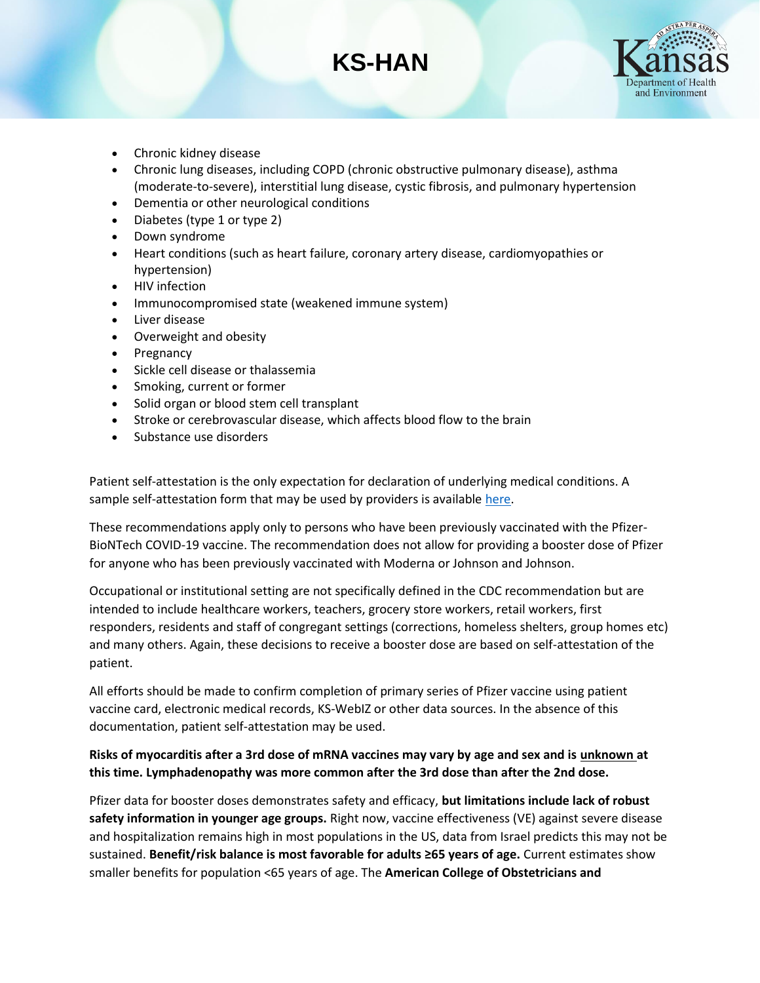# **KS-HAN**



- Chronic kidney disease
- Chronic lung diseases, including COPD (chronic obstructive pulmonary disease), asthma (moderate-to-severe), interstitial lung disease, cystic fibrosis, and pulmonary hypertension
- Dementia or other neurological conditions
- Diabetes (type 1 or type 2)
- Down syndrome
- Heart conditions (such as heart failure, coronary artery disease, cardiomyopathies or hypertension)
- HIV infection
- Immunocompromised state (weakened immune system)
- Liver disease
- Overweight and obesity
- **Pregnancy**
- Sickle cell disease or thalassemia
- Smoking, current or former
- Solid organ or blood stem cell transplant
- Stroke or cerebrovascular disease, which affects blood flow to the brain
- Substance use disorders

Patient self-attestation is the only expectation for declaration of underlying medical conditions. A sample self-attestation form that may be used by providers is available [here.](https://www.kansasvaccine.gov/DocumentCenter/View/326/Pfizer-Boost-Dose-Attestation-PDF-)

These recommendations apply only to persons who have been previously vaccinated with the Pfizer-BioNTech COVID-19 vaccine. The recommendation does not allow for providing a booster dose of Pfizer for anyone who has been previously vaccinated with Moderna or Johnson and Johnson.

Occupational or institutional setting are not specifically defined in the CDC recommendation but are intended to include healthcare workers, teachers, grocery store workers, retail workers, first responders, residents and staff of congregant settings (corrections, homeless shelters, group homes etc) and many others. Again, these decisions to receive a booster dose are based on self-attestation of the patient.

All efforts should be made to confirm completion of primary series of Pfizer vaccine using patient vaccine card, electronic medical records, KS-WebIZ or other data sources. In the absence of this documentation, patient self-attestation may be used.

#### **Risks of myocarditis after a 3rd dose of mRNA vaccines may vary by age and sex and is unknown at this time. Lymphadenopathy was more common after the 3rd dose than after the 2nd dose.**

Pfizer data for booster doses demonstrates safety and efficacy, **but limitations include lack of robust safety information in younger age groups.** Right now, vaccine effectiveness (VE) against severe disease and hospitalization remains high in most populations in the US, data from Israel predicts this may not be sustained. **Benefit/risk balance is most favorable for adults ≥65 years of age.** Current estimates show smaller benefits for population <65 years of age. The **American College of Obstetricians and**